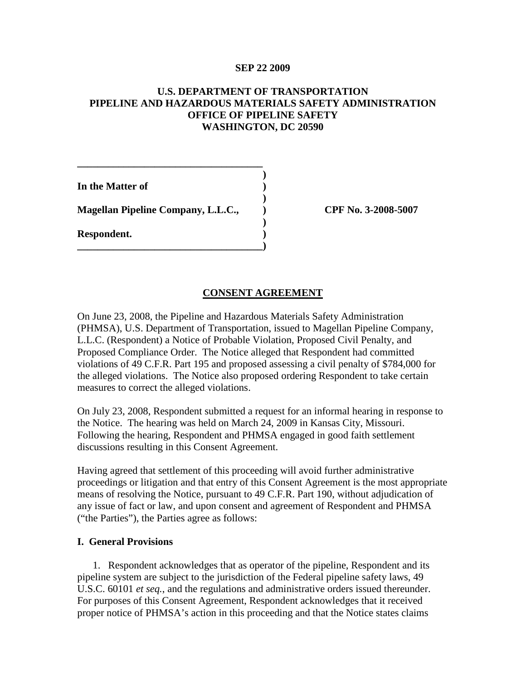## **SEP 22 2009**

# **U.S. DEPARTMENT OF TRANSPORTATION PIPELINE AND HAZARDOUS MATERIALS SAFETY ADMINISTRATION OFFICE OF PIPELINE SAFETY WASHINGTON, DC 20590**

**)**

**)**

**)**

**In the Matter of ) Magellan Pipeline Company, L.L.C., ) CPF No. 3-2008-5007 Respondent. ) \_\_\_\_\_\_\_\_\_\_\_\_\_\_\_\_\_\_\_\_\_\_\_\_\_\_\_\_\_\_\_\_\_\_\_\_)**

**\_\_\_\_\_\_\_\_\_\_\_\_\_\_\_\_\_\_\_\_\_\_\_\_\_\_\_\_\_\_\_\_\_\_\_\_**

## **CONSENT AGREEMENT**

On June 23, 2008, the Pipeline and Hazardous Materials Safety Administration (PHMSA), U.S. Department of Transportation, issued to Magellan Pipeline Company, L.L.C. (Respondent) a Notice of Probable Violation, Proposed Civil Penalty, and Proposed Compliance Order. The Notice alleged that Respondent had committed violations of 49 C.F.R. Part 195 and proposed assessing a civil penalty of \$784,000 for the alleged violations. The Notice also proposed ordering Respondent to take certain measures to correct the alleged violations.

On July 23, 2008, Respondent submitted a request for an informal hearing in response to the Notice. The hearing was held on March 24, 2009 in Kansas City, Missouri. Following the hearing, Respondent and PHMSA engaged in good faith settlement discussions resulting in this Consent Agreement.

Having agreed that settlement of this proceeding will avoid further administrative proceedings or litigation and that entry of this Consent Agreement is the most appropriate means of resolving the Notice, pursuant to 49 C.F.R. Part 190, without adjudication of any issue of fact or law, and upon consent and agreement of Respondent and PHMSA ("the Parties"), the Parties agree as follows:

#### **I. General Provisions**

1. Respondent acknowledges that as operator of the pipeline, Respondent and its pipeline system are subject to the jurisdiction of the Federal pipeline safety laws, 49 U.S.C. 60101 *et seq.*, and the regulations and administrative orders issued thereunder. For purposes of this Consent Agreement, Respondent acknowledges that it received proper notice of PHMSA's action in this proceeding and that the Notice states claims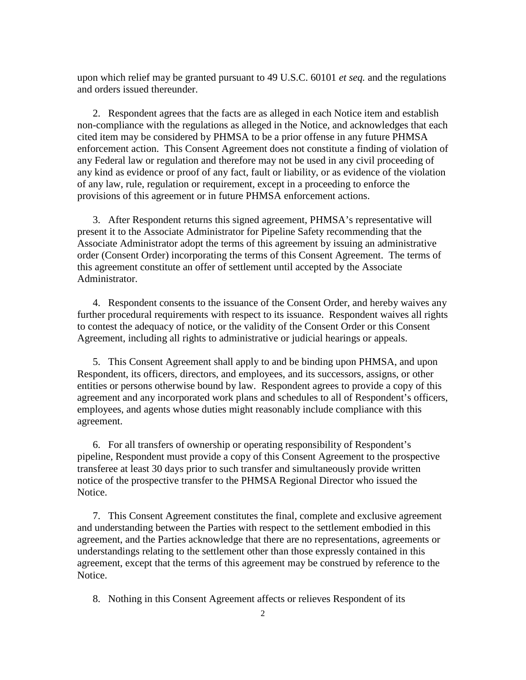upon which relief may be granted pursuant to 49 U.S.C. 60101 *et seq.* and the regulations and orders issued thereunder.

2. Respondent agrees that the facts are as alleged in each Notice item and establish non-compliance with the regulations as alleged in the Notice, and acknowledges that each cited item may be considered by PHMSA to be a prior offense in any future PHMSA enforcement action. This Consent Agreement does not constitute a finding of violation of any Federal law or regulation and therefore may not be used in any civil proceeding of any kind as evidence or proof of any fact, fault or liability, or as evidence of the violation of any law, rule, regulation or requirement, except in a proceeding to enforce the provisions of this agreement or in future PHMSA enforcement actions.

3. After Respondent returns this signed agreement, PHMSA's representative will present it to the Associate Administrator for Pipeline Safety recommending that the Associate Administrator adopt the terms of this agreement by issuing an administrative order (Consent Order) incorporating the terms of this Consent Agreement. The terms of this agreement constitute an offer of settlement until accepted by the Associate Administrator.

4. Respondent consents to the issuance of the Consent Order, and hereby waives any further procedural requirements with respect to its issuance. Respondent waives all rights to contest the adequacy of notice, or the validity of the Consent Order or this Consent Agreement, including all rights to administrative or judicial hearings or appeals.

5. This Consent Agreement shall apply to and be binding upon PHMSA, and upon Respondent, its officers, directors, and employees, and its successors, assigns, or other entities or persons otherwise bound by law. Respondent agrees to provide a copy of this agreement and any incorporated work plans and schedules to all of Respondent's officers, employees, and agents whose duties might reasonably include compliance with this agreement.

6. For all transfers of ownership or operating responsibility of Respondent's pipeline, Respondent must provide a copy of this Consent Agreement to the prospective transferee at least 30 days prior to such transfer and simultaneously provide written notice of the prospective transfer to the PHMSA Regional Director who issued the Notice.

7. This Consent Agreement constitutes the final, complete and exclusive agreement and understanding between the Parties with respect to the settlement embodied in this agreement, and the Parties acknowledge that there are no representations, agreements or understandings relating to the settlement other than those expressly contained in this agreement, except that the terms of this agreement may be construed by reference to the Notice.

8. Nothing in this Consent Agreement affects or relieves Respondent of its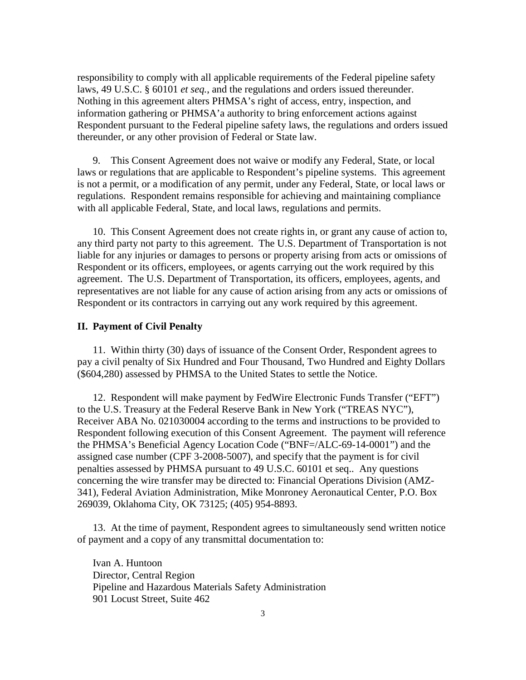responsibility to comply with all applicable requirements of the Federal pipeline safety laws, 49 U.S.C. § 60101 *et seq.*, and the regulations and orders issued thereunder. Nothing in this agreement alters PHMSA's right of access, entry, inspection, and information gathering or PHMSA'a authority to bring enforcement actions against Respondent pursuant to the Federal pipeline safety laws, the regulations and orders issued thereunder, or any other provision of Federal or State law.

9. This Consent Agreement does not waive or modify any Federal, State, or local laws or regulations that are applicable to Respondent's pipeline systems. This agreement is not a permit, or a modification of any permit, under any Federal, State, or local laws or regulations. Respondent remains responsible for achieving and maintaining compliance with all applicable Federal, State, and local laws, regulations and permits.

10. This Consent Agreement does not create rights in, or grant any cause of action to, any third party not party to this agreement. The U.S. Department of Transportation is not liable for any injuries or damages to persons or property arising from acts or omissions of Respondent or its officers, employees, or agents carrying out the work required by this agreement. The U.S. Department of Transportation, its officers, employees, agents, and representatives are not liable for any cause of action arising from any acts or omissions of Respondent or its contractors in carrying out any work required by this agreement.

#### **II. Payment of Civil Penalty**

11. Within thirty (30) days of issuance of the Consent Order, Respondent agrees to pay a civil penalty of Six Hundred and Four Thousand, Two Hundred and Eighty Dollars (\$604,280) assessed by PHMSA to the United States to settle the Notice.

12. Respondent will make payment by FedWire Electronic Funds Transfer ("EFT") to the U.S. Treasury at the Federal Reserve Bank in New York ("TREAS NYC"), Receiver ABA No. 021030004 according to the terms and instructions to be provided to Respondent following execution of this Consent Agreement. The payment will reference the PHMSA's Beneficial Agency Location Code ("BNF=/ALC-69-14-0001") and the assigned case number (CPF 3-2008-5007), and specify that the payment is for civil penalties assessed by PHMSA pursuant to 49 U.S.C. 60101 et seq.. Any questions concerning the wire transfer may be directed to: Financial Operations Division (AMZ-341), Federal Aviation Administration, Mike Monroney Aeronautical Center, P.O. Box 269039, Oklahoma City, OK 73125; (405) 954-8893.

13. At the time of payment, Respondent agrees to simultaneously send written notice of payment and a copy of any transmittal documentation to:

Ivan A. Huntoon Director, Central Region Pipeline and Hazardous Materials Safety Administration 901 Locust Street, Suite 462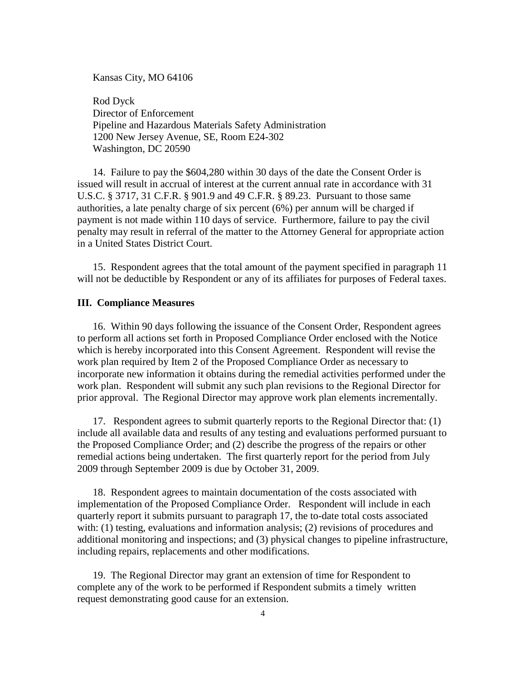Kansas City, MO 64106

Rod Dyck Director of Enforcement Pipeline and Hazardous Materials Safety Administration 1200 New Jersey Avenue, SE, Room E24-302 Washington, DC 20590

14. Failure to pay the \$604,280 within 30 days of the date the Consent Order is issued will result in accrual of interest at the current annual rate in accordance with 31 U.S.C. § 3717, 31 C.F.R. § 901.9 and 49 C.F.R. § 89.23. Pursuant to those same authorities, a late penalty charge of six percent (6%) per annum will be charged if payment is not made within 110 days of service. Furthermore, failure to pay the civil penalty may result in referral of the matter to the Attorney General for appropriate action in a United States District Court.

15. Respondent agrees that the total amount of the payment specified in paragraph 11 will not be deductible by Respondent or any of its affiliates for purposes of Federal taxes.

#### **III. Compliance Measures**

16. Within 90 days following the issuance of the Consent Order, Respondent agrees to perform all actions set forth in Proposed Compliance Order enclosed with the Notice which is hereby incorporated into this Consent Agreement. Respondent will revise the work plan required by Item 2 of the Proposed Compliance Order as necessary to incorporate new information it obtains during the remedial activities performed under the work plan. Respondent will submit any such plan revisions to the Regional Director for prior approval. The Regional Director may approve work plan elements incrementally.

17. Respondent agrees to submit quarterly reports to the Regional Director that: (1) include all available data and results of any testing and evaluations performed pursuant to the Proposed Compliance Order; and (2) describe the progress of the repairs or other remedial actions being undertaken. The first quarterly report for the period from July 2009 through September 2009 is due by October 31, 2009.

18. Respondent agrees to maintain documentation of the costs associated with implementation of the Proposed Compliance Order. Respondent will include in each quarterly report it submits pursuant to paragraph 17, the to-date total costs associated with: (1) testing, evaluations and information analysis; (2) revisions of procedures and additional monitoring and inspections; and (3) physical changes to pipeline infrastructure, including repairs, replacements and other modifications.

19. The Regional Director may grant an extension of time for Respondent to complete any of the work to be performed if Respondent submits a timely written request demonstrating good cause for an extension.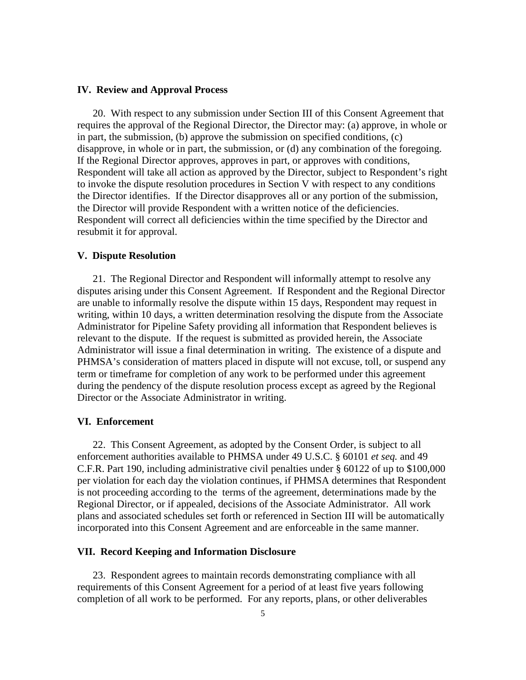## **IV. Review and Approval Process**

20. With respect to any submission under Section III of this Consent Agreement that requires the approval of the Regional Director, the Director may: (a) approve, in whole or in part, the submission, (b) approve the submission on specified conditions, (c) disapprove, in whole or in part, the submission, or (d) any combination of the foregoing. If the Regional Director approves, approves in part, or approves with conditions, Respondent will take all action as approved by the Director, subject to Respondent's right to invoke the dispute resolution procedures in Section V with respect to any conditions the Director identifies. If the Director disapproves all or any portion of the submission, the Director will provide Respondent with a written notice of the deficiencies. Respondent will correct all deficiencies within the time specified by the Director and resubmit it for approval.

## **V. Dispute Resolution**

21. The Regional Director and Respondent will informally attempt to resolve any disputes arising under this Consent Agreement. If Respondent and the Regional Director are unable to informally resolve the dispute within 15 days, Respondent may request in writing, within 10 days, a written determination resolving the dispute from the Associate Administrator for Pipeline Safety providing all information that Respondent believes is relevant to the dispute. If the request is submitted as provided herein, the Associate Administrator will issue a final determination in writing. The existence of a dispute and PHMSA's consideration of matters placed in dispute will not excuse, toll, or suspend any term or timeframe for completion of any work to be performed under this agreement during the pendency of the dispute resolution process except as agreed by the Regional Director or the Associate Administrator in writing.

#### **VI. Enforcement**

22. This Consent Agreement, as adopted by the Consent Order, is subject to all enforcement authorities available to PHMSA under 49 U.S.C. § 60101 *et seq.* and 49 C.F.R. Part 190, including administrative civil penalties under § 60122 of up to \$100,000 per violation for each day the violation continues, if PHMSA determines that Respondent is not proceeding according to the terms of the agreement, determinations made by the Regional Director, or if appealed, decisions of the Associate Administrator. All work plans and associated schedules set forth or referenced in Section III will be automatically incorporated into this Consent Agreement and are enforceable in the same manner.

## **VII. Record Keeping and Information Disclosure**

23. Respondent agrees to maintain records demonstrating compliance with all requirements of this Consent Agreement for a period of at least five years following completion of all work to be performed. For any reports, plans, or other deliverables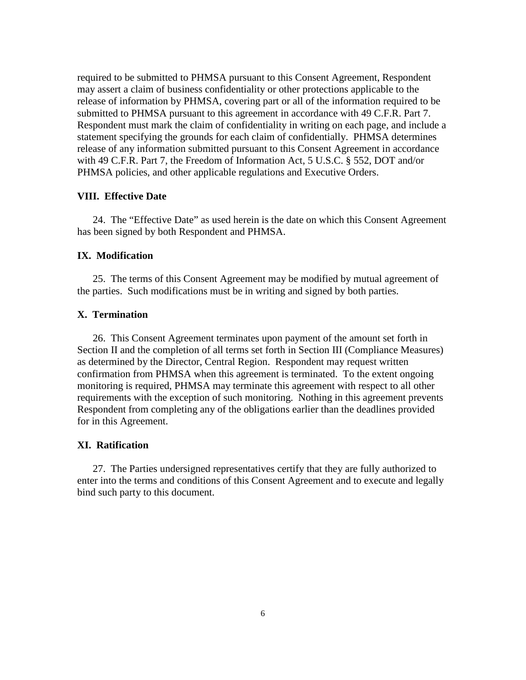required to be submitted to PHMSA pursuant to this Consent Agreement, Respondent may assert a claim of business confidentiality or other protections applicable to the release of information by PHMSA, covering part or all of the information required to be submitted to PHMSA pursuant to this agreement in accordance with 49 C.F.R. Part 7. Respondent must mark the claim of confidentiality in writing on each page, and include a statement specifying the grounds for each claim of confidentially. PHMSA determines release of any information submitted pursuant to this Consent Agreement in accordance with 49 C.F.R. Part 7, the Freedom of Information Act, 5 U.S.C. § 552, DOT and/or PHMSA policies, and other applicable regulations and Executive Orders.

#### **VIII. Effective Date**

24. The "Effective Date" as used herein is the date on which this Consent Agreement has been signed by both Respondent and PHMSA.

# **IX. Modification**

25. The terms of this Consent Agreement may be modified by mutual agreement of the parties. Such modifications must be in writing and signed by both parties.

## **X. Termination**

26. This Consent Agreement terminates upon payment of the amount set forth in Section II and the completion of all terms set forth in Section III (Compliance Measures) as determined by the Director, Central Region. Respondent may request written confirmation from PHMSA when this agreement is terminated. To the extent ongoing monitoring is required, PHMSA may terminate this agreement with respect to all other requirements with the exception of such monitoring. Nothing in this agreement prevents Respondent from completing any of the obligations earlier than the deadlines provided for in this Agreement.

#### **XI. Ratification**

27. The Parties undersigned representatives certify that they are fully authorized to enter into the terms and conditions of this Consent Agreement and to execute and legally bind such party to this document.